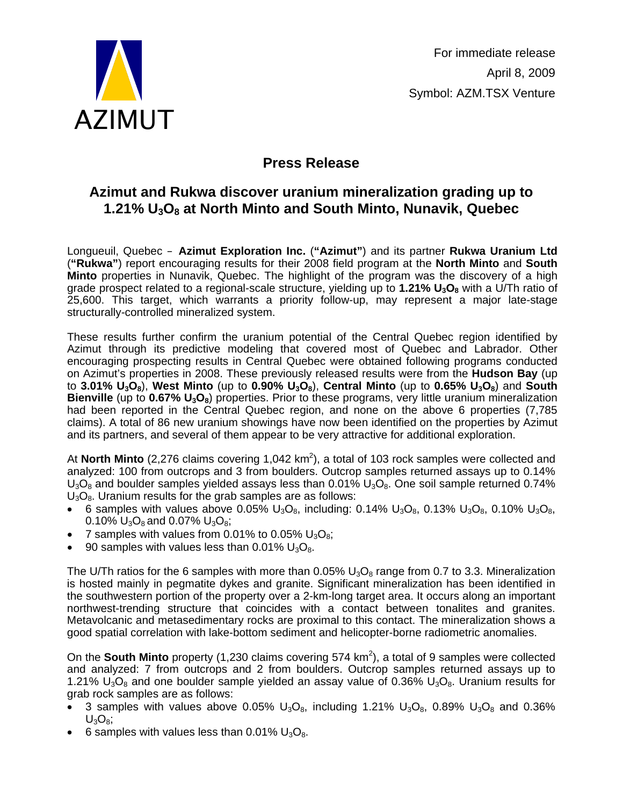

## **Press Release**

## **Azimut and Rukwa discover uranium mineralization grading up to 1.21% U3O8 at North Minto and South Minto, Nunavik, Quebec**

Longueuil, Quebec – **Azimut Exploration Inc.** (**"Azimut"**) and its partner **Rukwa Uranium Ltd**  (**"Rukwa"**) report encouraging results for their 2008 field program at the **North Minto** and **South Minto** properties in Nunavik, Quebec. The highlight of the program was the discovery of a high grade prospect related to a regional-scale structure, yielding up to 1.21% U<sub>3</sub>O<sub>8</sub> with a U/Th ratio of 25,600. This target, which warrants a priority follow-up, may represent a major late-stage structurally-controlled mineralized system.

These results further confirm the uranium potential of the Central Quebec region identified by Azimut through its predictive modeling that covered most of Quebec and Labrador. Other encouraging prospecting results in Central Quebec were obtained following programs conducted on Azimut's properties in 2008. These previously released results were from the **Hudson Bay** (up to **3.01% U<sub>3</sub>O<sub>8</sub>), West Minto** (up to **0.90% U<sub>3</sub>O<sub>8</sub>), Central Minto** (up to **0.65% U<sub>3</sub>O<sub>8</sub>) and South Bienville** (up to **0.67% U<sub>3</sub>O<sub>8</sub>)** properties. Prior to these programs, very little uranium mineralization had been reported in the Central Quebec region, and none on the above 6 properties (7,785 claims). A total of 86 new uranium showings have now been identified on the properties by Azimut and its partners, and several of them appear to be very attractive for additional exploration.

At North Minto (2,276 claims covering 1,042 km<sup>2</sup>), a total of 103 rock samples were collected and analyzed: 100 from outcrops and 3 from boulders. Outcrop samples returned assays up to 0.14%  $U_3O_8$  and boulder samples yielded assays less than 0.01%  $U_3O_8$ . One soil sample returned 0.74%  $U_3O_8$ . Uranium results for the grab samples are as follows:

- 6 samples with values above 0.05%  $U_3O_8$ , including: 0.14%  $U_3O_8$ , 0.13%  $U_3O_8$ , 0.10%  $U_3O_8$ , 0.10%  $U_3O_8$  and 0.07%  $U_3O_8$ ;
- 7 samples with values from 0.01% to 0.05%  $U_3O_8$ ;
- 90 samples with values less than  $0.01\%$  U<sub>3</sub>O<sub>8</sub>.

The U/Th ratios for the 6 samples with more than  $0.05\%$  U<sub>3</sub>O<sub>8</sub> range from 0.7 to 3.3. Mineralization is hosted mainly in pegmatite dykes and granite. Significant mineralization has been identified in the southwestern portion of the property over a 2-km-long target area. It occurs along an important northwest-trending structure that coincides with a contact between tonalites and granites. Metavolcanic and metasedimentary rocks are proximal to this contact. The mineralization shows a good spatial correlation with lake-bottom sediment and helicopter-borne radiometric anomalies.

On the **South Minto** property (1,230 claims covering 574 km<sup>2</sup>), a total of 9 samples were collected and analyzed: 7 from outcrops and 2 from boulders. Outcrop samples returned assays up to 1.21%  $U_3O_8$  and one boulder sample yielded an assay value of 0.36%  $U_3O_8$ . Uranium results for grab rock samples are as follows:

- 3 samples with values above 0.05%  $U_3O_8$ , including 1.21%  $U_3O_8$ , 0.89%  $U_3O_8$  and 0.36%  $U_3O_8$ ;
- 6 samples with values less than 0.01%  $U_3O_8$ .